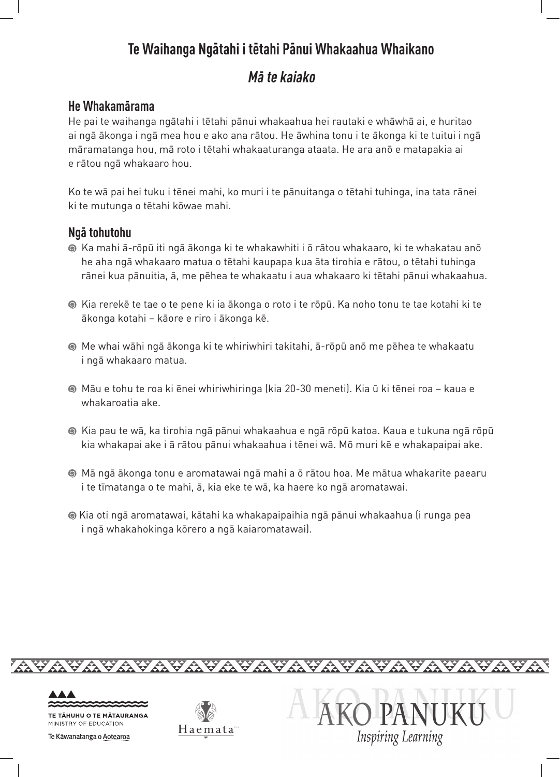## **Te Waihanga Ngatahi i tetahi Panui Whakaahua Whaikano - - -**

# **Ma te kaiako -**

### **He Whakamarama -**

He pai te waihanga ngātahi i tētahi pānui whakaahua hei rautaki e whāwhā ai, e huritao ai ngā ākonga i ngā mea hou e ako ana rātou. He āwhina tonu i te ākonga ki te tuitui i ngā māramatanga hou, mā roto i tētahi whakaaturanga ataata. He ara anō e matapakia ai e rātou ngā whakaaro hou.

Ko te wā pai hei tuku i tēnei mahi, ko muri i te pānuitanga o tētahi tuhinga, ina tata rānei ki te mutunga o tētahi kōwae mahi.

### **Nga tohutohu -**

- Ka mahi ā-rōpū iti ngā ākonga ki te whakawhiti i ō rātou whakaaro, ki te whakatau anō he aha ngā whakaaro matua o tētahi kaupapa kua āta tirohia e rātou, o tētahi tuhinga rānei kua pānuitia, ā, me pēhea te whakaatu i aua whakaaro ki tētahi pānui whakaahua.
- Kia rerekē te tae o te pene ki ia ākonga o roto i te rōpū. Ka noho tonu te tae kotahi ki te ākonga kotahi – kāore e riro i ākonga kē.
- Me whai wāhi ngā ākonga ki te whiriwhiri takitahi, ā-rōpū anō me pēhea te whakaatu i ngā whakaaro matua.
- Māu e tohu te roa ki ēnei whiriwhiringa (kia 20-30 meneti). Kia ū ki tēnei roa kaua e whakaroatia ake.
- Kia pau te wā, ka tirohia ngā pānui whakaahua e ngā rōpū katoa. Kaua e tukuna ngā rōpū kia whakapai ake i ā rātou pānui whakaahua i tēnei wā. Mō muri kē e whakapaipai ake.
- Mā ngā ākonga tonu e aromatawai ngā mahi a ō rātou hoa. Me mātua whakarite paearu i te tīmatanga o te mahi, ā, kia eke te wā, ka haere ko ngā aromatawai.
- Kia oti ngā aromatawai, kātahi ka whakapaipaihia ngā pānui whakaahua (i runga pea i ngā whakahokinga kōrero a ngā kaiaromatawai).

<del>AVAVØRVAVAVAVAVAVAVAVAVAVAVAVAVAVA</del>



**TE TĀHUHU O TE MĀTAURANGA** MINISTRY OF EDUCATION